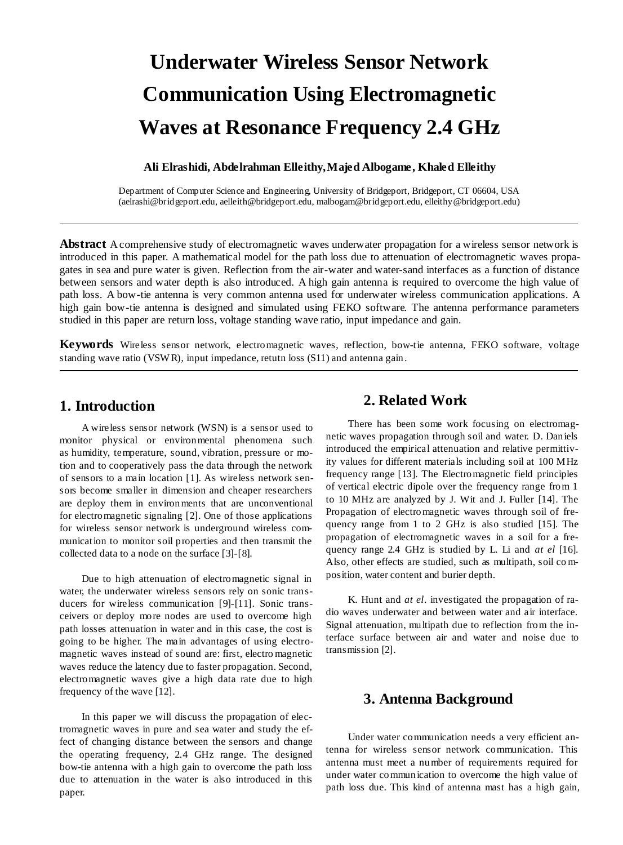# **Underwater Wireless Sensor Network Communication Using Electromagnetic Waves at Resonance Frequency 2.4 GHz**

## **Ali Elrashidi, Abdelrahman Elleithy,Majed Albogame, Khaled Elleithy**

Department of Computer Science and Engineering, University of Bridgeport, Bridgeport, CT 06604, USA [\(aelrashi@bridgeport.edu, aelleith@bridgeport.edu,](mailto:aelrashi@bridgeport.edu) malbogam@bridgeport.edu, elleithy@bridgeport.edu)

**Abstract** A comprehensive study of electromagnetic waves underwater propagation for a wireless sensor network is introduced in this paper. A mathematical model for the path loss due to attenuation of electromagnetic waves propagates in sea and pure water is given. Reflection from the air-water and water-sand interfaces as a function of distance between sensors and water depth is also introduced. A high gain antenna is required to overcome the high value of path loss. A bow-tie antenna is very common antenna used for underwater wireless communication applications. A high gain bow-tie antenna is designed and simulated using FEKO software. The antenna performance parameters studied in this paper are return loss, voltage standing wave ratio, input impedance and gain.

**Keywords** Wireless sensor network, electromagnetic waves, reflection, bow-tie antenna, FEKO software, voltage standing wave ratio (VSW R), input impedance, retutn loss (S11) and antenna gain.

# **1. Introduction**

A wireless sensor network (WSN) is a sensor used to monitor physical or environmental phenomena such as humidity, [temperature,](http://en.wikipedia.org/wiki/Temperature) [sound,](http://en.wikipedia.org/wiki/Sound) [vibration,](http://en.wikipedia.org/wiki/Oscillation) [pressure](http://en.wikipedia.org/wiki/Pressure) or motion and to cooperatively pass the data through the network of sensors to a main location [1]. As wireless network sensors become smaller in dimension and cheaper researchers are deploy them in environments that are unconventional for electromagnetic signaling [2]. One of those applications for wireless sensor network is underground wireless communication to monitor soil properties and then transmit the collected data to a node on the surface [3]-[8].

Due to high attenuation of electromagnetic signal in water, the underwater wireless sensors rely on sonic transducers for wireless communication [9]-[11]. Sonic transceivers or deploy more nodes are used to overcome high path losses attenuation in water and in this case, the cost is going to be higher. The main advantages of using electromagnetic waves instead of sound are: first, electro magnetic waves reduce the latency due to faster propagation. Second, electromagnetic waves give a high data rate due to high frequency of the wave [12].

In this paper we will discuss the propagation of electromagnetic waves in pure and sea water and study the effect of changing distance between the sensors and change the operating frequency, 2.4 GHz range. The designed bow-tie antenna with a high gain to overcome the path loss due to attenuation in the water is also introduced in this paper.

# **2. Related Work**

There has been some work focusing on electromagnetic waves propagation through soil and water. D. Daniels introduced the empirical attenuation and relative permittivity values for different materials including soil at 100 MHz frequency range [13]. The Electromagnetic field principles of vertical electric dipole over the frequency range from 1 to 10 MHz are analyzed by J. Wit and J. Fuller [14]. The Propagation of electromagnetic waves through soil of frequency range from 1 to 2 GHz is also studied [15]. The propagation of electromagnetic waves in a soil for a frequency range 2.4 GHz is studied by L. Li and *at el* [16]. Also, other effects are studied, such as multipath, soil co mposition, water content and burier depth.

K. Hunt and *at el*. investigated the propagation of radio waves underwater and between water and air interface. Signal attenuation, multipath due to reflection from the interface surface between air and water and noise due to transmission [2].

# **3. Antenna Background**

Under water communication needs a very efficient antenna for wireless sensor network communication. This antenna must meet a number of requirements required for under water communication to overcome the high value of path loss due. This kind of antenna mast has a high gain,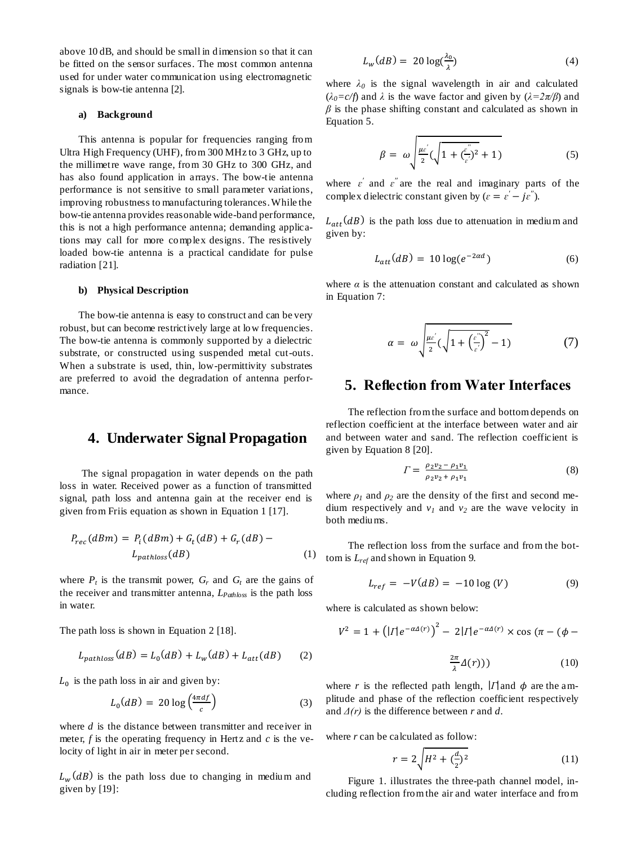above 10 dB, and should be small in dimension so that it can be fitted on the sensor surfaces. The most common antenna used for under water communication using electromagnetic signals is bow-tie antenna [2].

## **a) Background**

This antenna is popular for frequencies ranging from Ultra High Frequency (UHF), from 300 MHz to 3 GHz, up to the millimetre wave range, from 30 GHz to 300 GHz, and has also found application in arrays. The bow-tie antenna performance is not sensitive to small parameter variations, improving robustness to manufacturing tolerances. While the bow-tie antenna provides reasonable wide-band performance, this is not a high performance antenna; demanding applications may call for more complex designs. The resistively loaded bow-tie antenna is a practical candidate for pulse radiation [21].

#### **b) Physical Description**

The bow-tie antenna is easy to construct and can be very robust, but can become restrictively large at low frequencies. The bow-tie antenna is commonly supported by a dielectric substrate, or constructed using suspended metal cut-outs. When a substrate is used, thin, low-permittivity substrates are preferred to avoid the degradation of antenna performance.

# **4. Underwater Signal Propagation**

The signal propagation in water depends on the path loss in water. Received power as a function of transmitted signal, path loss and antenna gain at the receiver end is given from Friis equation as shown in Equation 1 [17].

$$
P_{rec}(dBm) = P_i(dBm) + G_t(dB) + G_r(dB) - L_{pathloss}(dB)
$$
\n
$$
(1)
$$

where  $P_t$  is the transmit power,  $G_r$  and  $G_t$  are the gains of the receiver and transmitter antenna, *LPathloss* is the path loss in water.

The path loss is shown in Equation 2 [18].

$$
L_{paths} (dB) = L_0 (dB) + L_w (dB) + L_{att} (dB)
$$
 (2)

 $L_0$  is the path loss in air and given by:

$$
L_0(dB) = 20 \log \left(\frac{4\pi d f}{c}\right) \tag{3}
$$

where *d* is the distance between transmitter and receiver in meter, *f* is the operating frequency in Hertz and *c* is the velocity of light in air in meter per second.

 $L_w(dB)$  is the path loss due to changing in medium and given by [19]:

$$
L_w(dB) = 20 \log(\frac{\lambda_0}{\lambda})
$$
\n(4)

where  $\lambda_0$  is the signal wavelength in air and calculated  $(\lambda_0 = c/f)$  and  $\lambda$  is the wave factor and given by  $(\lambda = 2\pi/\beta)$  and  $\beta$  is the phase shifting constant and calculated as shown in Equation 5.

$$
\beta = \omega \sqrt{\frac{\mu \varepsilon^{'}}{2} (\sqrt{1 + (\frac{\varepsilon^{"}}{\varepsilon^{'}})^2} + 1)}
$$
(5)

where  $\varepsilon'$  and  $\varepsilon''$  are the real and imaginary parts of the complex dielectric constant given by ( $\varepsilon = \varepsilon' - j\varepsilon''$ ).

 $L_{att}(dB)$  is the path loss due to attenuation in medium and given by:

$$
L_{att}(dB) = 10 \log(e^{-2\alpha d}) \tag{6}
$$

where  $\alpha$  is the attenuation constant and calculated as shown in Equation 7:

$$
\alpha = \omega \sqrt{\frac{\mu \varepsilon^{'}}{2}} (\sqrt{1 + \left(\frac{\varepsilon^{''}}{\varepsilon^{'}}\right)^{2}} - 1) \tag{7}
$$

## **5. Reflection from Water Interfaces**

The reflection from the surface and bottom depends on reflection coefficient at the interface between water and air and between water and sand. The reflection coefficient is given by Equation 8 [20].

$$
\Gamma = \frac{\rho_2 v_2 - \rho_1 v_1}{\rho_2 v_2 + \rho_1 v_1} \tag{8}
$$

where  $\rho_1$  and  $\rho_2$  are the density of the first and second medium respectively and  $v_1$  and  $v_2$  are the wave velocity in both mediums.

The reflection loss from the surface and from the bottom is *Lref* and shown in Equation 9.

$$
L_{ref} = -V(dB) = -10 \log (V) \tag{9}
$$

where is calculated as shown below:

$$
V^{2} = 1 + (|I|e^{-\alpha\Delta(r)})^{2} - 2|I|e^{-\alpha\Delta(r)} \times \cos(\pi - (\phi - \phi))
$$

$$
\frac{2\pi}{\lambda}\Delta(r)))\tag{10}
$$

where r is the reflected path length,  $|\Gamma|$  and  $\phi$  are the amplitude and phase of the reflection coefficient respectively and *Δ(r)* is the difference between *r* and *d*.

where *r* can be calculated as follow:

$$
r = 2\sqrt{H^2 + (\frac{d}{2})^2} \tag{11}
$$

Figure 1. illustrates the three-path channel model, including reflection from the air and water interface and from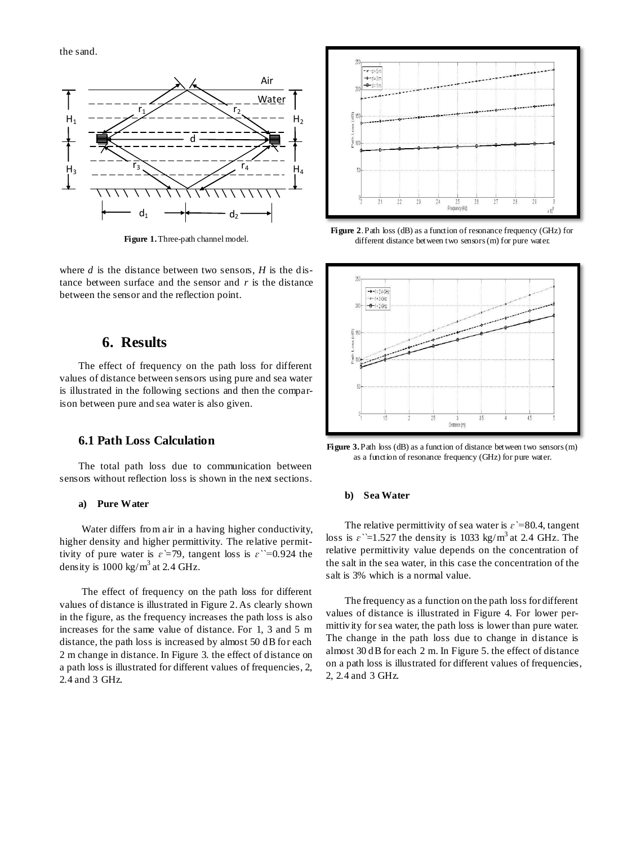the sand.



**Figure 1.**Three-path channel model.

where *d* is the distance between two sensors, *H* is the distance between surface and the sensor and *r* is the distance between the sensor and the reflection point.

## **6. Results**

The effect of frequency on the path loss for different values of distance between sensors using pure and sea water is illustrated in the following sections and then the comparison between pure and sea water is also given.

## **6.1 Path Loss Calculation**

The total path loss due to communication between sensors without reflection loss is shown in the next sections.

### **a) Pure Water**

Water differs from air in a having higher conductivity, higher density and higher permittivity. The relative permittivity of pure water is  $\varepsilon = 79$ , tangent loss is  $\varepsilon$   $\geq 0.924$  the density is  $1000 \text{ kg/m}^3$  at 2.4 GHz.

The effect of frequency on the path loss for different values of distance is illustrated in Figure 2. As clearly shown in the figure, as the frequency increases the path loss is also increases for the same value of distance. For 1, 3 and 5 m distance, the path loss is increased by almost 50 dB for each 2 m change in distance. In Figure 3. the effect of distance on a path loss is illustrated for different values of frequencies, 2, 2.4 and 3 GHz.



**Figure 2**. Path loss (dB) as a function of resonance frequency (GHz) for different distance between two sensors (m) for pure water.



Figure 3. Path loss (dB) as a function of distance between two sensors (m) as a function of resonance frequency (GHz) for pure water.

### **b) Sea Water**

The relative permittivity of sea water is  $\varepsilon$  =80.4, tangent loss is  $\varepsilon$   $\geq$  1.527 the density is 1033 kg/m<sup>3</sup> at 2.4 GHz. The relative permittivity value depends on the concentration of the salt in the sea water, in this case the concentration of the salt is 3% which is a normal value.

The frequency as a function on the path loss for different values of distance is illustrated in Figure 4. For lower permittivity for sea water, the path loss is lower than pure water. The change in the path loss due to change in distance is almost 30 dB for each 2 m. In Figure 5. the effect of distance on a path loss is illustrated for different values of frequencies, 2, 2.4 and 3 GHz.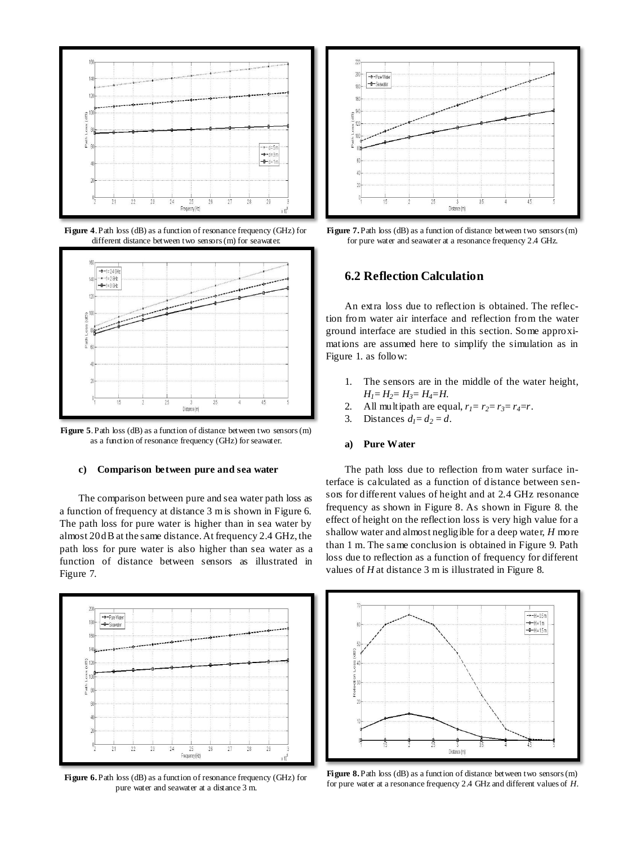

**Figure 4**. Path loss (dB) as a function of resonance frequency (GHz) for different distance between two sensors (m) for seawater.



**Figure 5**. Path loss (dB) as a function of distance between two sensors (m) as a function of resonance frequency (GHz) for seawater.

#### **c) Comparison between pure and sea water**

The comparison between pure and sea water path loss as a function of frequency at distance 3 m is shown in Figure 6. The path loss for pure water is higher than in sea water by almost 20 dB at the same distance. At frequency 2.4 GHz, the path loss for pure water is also higher than sea water as a function of distance between sensors as illustrated in Figure 7.



**Figure 6.**Path loss (dB) as a function of resonance frequency (GHz) for pure water and seawater at a distance 3 m.



**Figure 7.** Path loss (dB) as a function of distance between two sensors (m) for pure water and seawater at a resonance frequency 2.4 GHz.

## **6.2 Reflection Calculation**

An extra loss due to reflection is obtained. The reflection from water air interface and reflection from the water ground interface are studied in this section. Some approximations are assumed here to simplify the simulation as in Figure 1. as follow:

- 1. The sensors are in the middle of the water height,  $H_1 = H_2 = H_3 = H_4 = H$ .
- 2. All multipath are equal,  $r_1 = r_2 = r_3 = r_4 = r$ .
- 3. Distances  $d_1 = d_2 = d$ .

## **a) Pure Water**

The path loss due to reflection from water surface interface is calculated as a function of distance between sensors for different values of height and at 2.4 GHz resonance frequency as shown in Figure 8. As shown in Figure 8. the effect of height on the reflection loss is very high value for a shallow water and almost negligible for a deep water, *H* more than 1 m. The same conclusion is obtained in Figure 9. Path loss due to reflection as a function of frequency for different values of *H* at distance 3 m is illustrated in Figure 8.



Figure 8. Path loss (dB) as a function of distance between two sensors (m) for pure water at a resonance frequency 2.4 GHz and different values of *H*.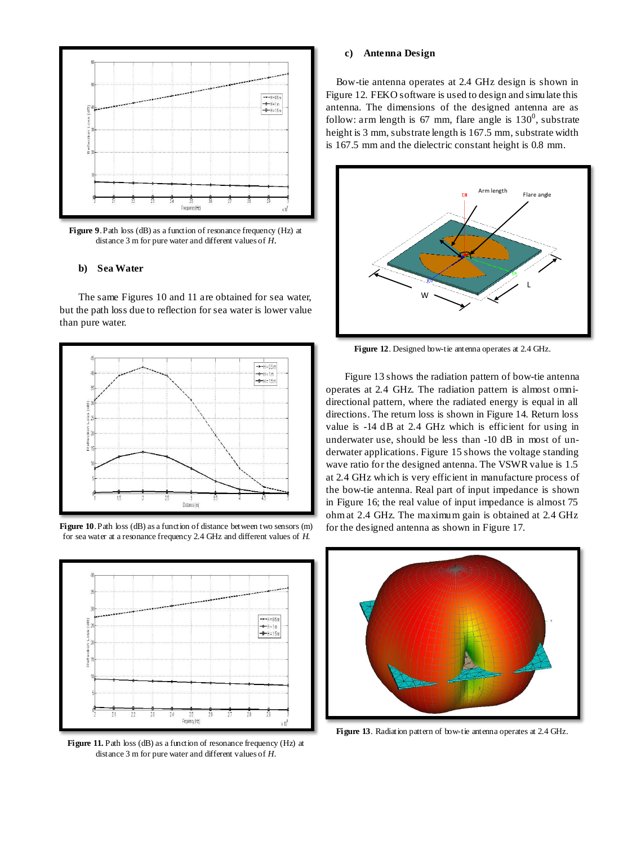

**Figure 9**. Path loss (dB) as a function of resonance frequency (Hz) at distance 3 m for pure water and different values of *H*.

#### **b) Sea Water**

The same Figures 10 and 11 are obtained for sea water, but the path loss due to reflection for sea water is lower value than pure water.







Figure 11. Path loss (dB) as a function of resonance frequency (Hz) at distance 3 m for pure water and different values of *H*.

#### **c) Antenna Design**

Bow-tie antenna operates at 2.4 GHz design is shown in Figure 12. FEKO software is used to design and simulate this antenna. The dimensions of the designed antenna are as follow: arm length is 67 mm, flare angle is  $130^0$ , substrate height is 3 mm, substrate length is 167.5 mm, substrate width is 167.5 mm and the dielectric constant height is 0.8 mm.



**Figure 12**. Designed bow-tie antenna operates at 2.4 GHz.

Figure 13 shows the radiation pattern of bow-tie antenna operates at 2.4 GHz. The radiation pattern is almost omnidirectional pattern, where the radiated energy is equal in all directions. The return loss is shown in Figure 14. Return loss value is -14 dB at 2.4 GHz which is efficient for using in underwater use, should be less than -10 dB in most of underwater applications. Figure 15 shows the voltage standing wave ratio for the designed antenna. The VSWR value is 1.5 at 2.4 GHz which is very efficient in manufacture process of the bow-tie antenna. Real part of input impedance is shown in Figure 16; the real value of input impedance is almost 75 ohm at 2.4 GHz. The maximum gain is obtained at 2.4 GHz for the designed antenna as shown in Figure 17.



**Figure 13**. Radiation pattern of bow-tie antenna operates at 2.4 GHz.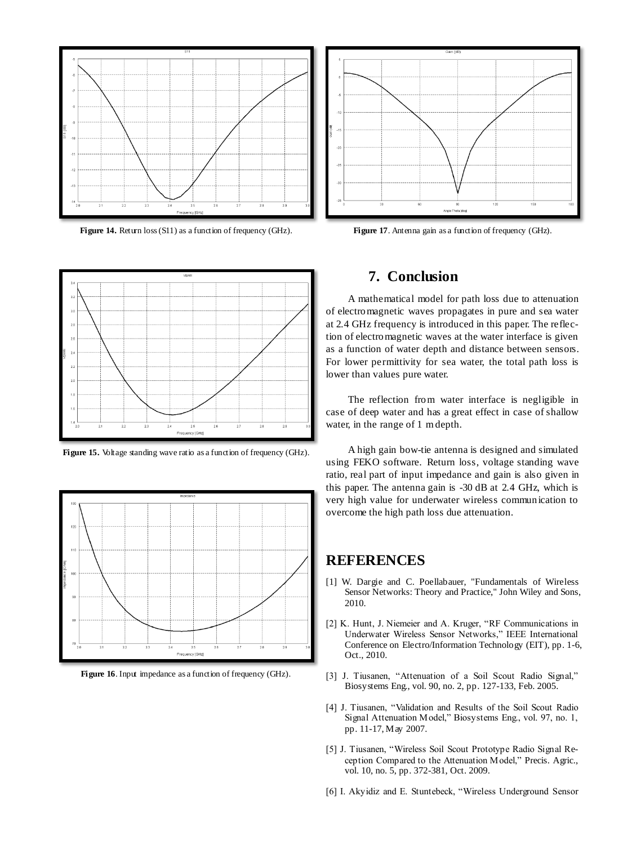

**Figure 14.** Return loss (S11) as a function of frequency (GHz).



Figure 15. Voltage standing wave ratio as a function of frequency (GHz).



Figure 16. Input impedance as a function of frequency (GHz).



Figure 17. Antenna gain as a function of frequency (GHz).

# **7. Conclusion**

A mathematical model for path loss due to attenuation of electromagnetic waves propagates in pure and sea water at 2.4 GHz frequency is introduced in this paper. The reflection of electromagnetic waves at the water interface is given as a function of water depth and distance between sensors. For lower permittivity for sea water, the total path loss is lower than values pure water.

The reflection from water interface is negligible in case of deep water and has a great effect in case of shallow water, in the range of 1 m depth.

A high gain bow-tie antenna is designed and simulated using FEKO software. Return loss, voltage standing wave ratio, real part of input impedance and gain is also given in this paper. The antenna gain is -30 dB at 2.4 GHz, which is very high value for underwater wireless communication to overcome the high path loss due attenuation.

## **REFERENCES**

- [1] W. Dargie and C. Poellabauer, "Fundamentals of Wireless Sensor Networks: Theory and Practice," John Wiley and Sons, 2010.
- [2] K. Hunt, J. Niemeier and A. Kruger, "RF Communications in Underwater Wireless Sensor Networks," IEEE International Conference on [Electro/Information Technology \(EIT\), pp. 1-6,](http://ieeexplore.ieee.org/xpl/mostRecentIssue.jsp?punumber=5599908)  [Oct., 2010.](http://ieeexplore.ieee.org/xpl/mostRecentIssue.jsp?punumber=5599908)
- [3] J. Tiusanen, "Attenuation of a Soil Scout Radio Signal," Biosystems Eng., vol. 90, no. 2, pp. 127-133, Feb. 2005.
- [4] J. Tiusanen, "Validation and Results of the Soil Scout Radio Signal Attenuation Model," Biosystems Eng., vol. 97, no. 1, pp. 11-17, May 2007.
- [5] J. Tiusanen, "Wireless Soil Scout Prototype Radio Signal Reception Compared to the Attenuation Model," Precis. Agric., vol. 10, no. 5, pp. 372-381, Oct. 2009.
- [6] I. Akyidiz and E. Stuntebeck, "Wireless Underground Sensor